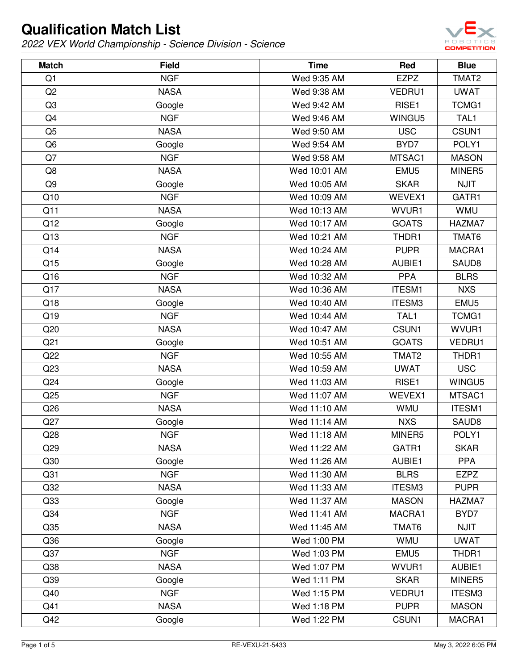

| <b>Match</b>    | <b>Field</b> | <b>Time</b>  | Red              | <b>Blue</b>       |
|-----------------|--------------|--------------|------------------|-------------------|
| Q1              | <b>NGF</b>   | Wed 9:35 AM  | <b>EZPZ</b>      | TMAT2             |
| Q2              | <b>NASA</b>  | Wed 9:38 AM  | VEDRU1           | <b>UWAT</b>       |
| Q <sub>3</sub>  | Google       | Wed 9:42 AM  | RISE1            | TCMG1             |
| Q4              | <b>NGF</b>   | Wed 9:46 AM  | WINGU5           | TAL1              |
| Q <sub>5</sub>  | <b>NASA</b>  | Wed 9:50 AM  | <b>USC</b>       | CSUN1             |
| Q <sub>6</sub>  | Google       | Wed 9:54 AM  | BYD7             | POLY1             |
| Q7              | <b>NGF</b>   | Wed 9:58 AM  | MTSAC1           | <b>MASON</b>      |
| Q8              | <b>NASA</b>  | Wed 10:01 AM | EMU <sub>5</sub> | MINER5            |
| Q <sub>9</sub>  | Google       | Wed 10:05 AM | <b>SKAR</b>      | <b>NJIT</b>       |
| Q10             | <b>NGF</b>   | Wed 10:09 AM | WEVEX1           | GATR1             |
| Q11             | <b>NASA</b>  | Wed 10:13 AM | WVUR1            | <b>WMU</b>        |
| Q12             | Google       | Wed 10:17 AM | <b>GOATS</b>     | HAZMA7            |
| Q13             | <b>NGF</b>   | Wed 10:21 AM | THDR1            | TMAT6             |
| Q14             | <b>NASA</b>  | Wed 10:24 AM | <b>PUPR</b>      | MACRA1            |
| Q15             | Google       | Wed 10:28 AM | AUBIE1           | SAUD <sub>8</sub> |
| Q16             | <b>NGF</b>   | Wed 10:32 AM | <b>PPA</b>       | <b>BLRS</b>       |
| Q17             | <b>NASA</b>  | Wed 10:36 AM | <b>ITESM1</b>    | <b>NXS</b>        |
| Q18             | Google       | Wed 10:40 AM | ITESM3           | EMU <sub>5</sub>  |
| Q19             | <b>NGF</b>   | Wed 10:44 AM | TAL1             | TCMG1             |
| Q20             | <b>NASA</b>  | Wed 10:47 AM | CSUN1            | WVUR1             |
| Q <sub>21</sub> | Google       | Wed 10:51 AM | <b>GOATS</b>     | VEDRU1            |
| Q22             | <b>NGF</b>   | Wed 10:55 AM | TMAT2            | THDR1             |
| Q23             | <b>NASA</b>  | Wed 10:59 AM | <b>UWAT</b>      | <b>USC</b>        |
| Q <sub>24</sub> | Google       | Wed 11:03 AM | RISE1            | WINGU5            |
| Q25             | <b>NGF</b>   | Wed 11:07 AM | WEVEX1           | MTSAC1            |
| Q26             | <b>NASA</b>  | Wed 11:10 AM | <b>WMU</b>       | <b>ITESM1</b>     |
| Q27             | Google       | Wed 11:14 AM | <b>NXS</b>       | SAUD8             |
| Q28             | <b>NGF</b>   | Wed 11:18 AM | MINER5           | POLY1             |
| Q29             | <b>NASA</b>  | Wed 11:22 AM | GATR1            | <b>SKAR</b>       |
| Q30             | Google       | Wed 11:26 AM | AUBIE1           | <b>PPA</b>        |
| Q <sub>31</sub> | <b>NGF</b>   | Wed 11:30 AM | <b>BLRS</b>      | <b>EZPZ</b>       |
| Q <sub>32</sub> | <b>NASA</b>  | Wed 11:33 AM | ITESM3           | <b>PUPR</b>       |
| Q33             | Google       | Wed 11:37 AM | <b>MASON</b>     | HAZMA7            |
| Q34             | <b>NGF</b>   | Wed 11:41 AM | MACRA1           | BYD7              |
| Q35             | <b>NASA</b>  | Wed 11:45 AM | TMAT6            | <b>NJIT</b>       |
| Q36             | Google       | Wed 1:00 PM  | <b>WMU</b>       | <b>UWAT</b>       |
| Q <sub>37</sub> | <b>NGF</b>   | Wed 1:03 PM  | EMU <sub>5</sub> | THDR1             |
| Q38             | <b>NASA</b>  | Wed 1:07 PM  | WVUR1            | AUBIE1            |
| Q39             | Google       | Wed 1:11 PM  | <b>SKAR</b>      | MINER5            |
| Q40             | <b>NGF</b>   | Wed 1:15 PM  | VEDRU1           | ITESM3            |
| Q41             | <b>NASA</b>  | Wed 1:18 PM  | <b>PUPR</b>      | <b>MASON</b>      |
| Q42             | Google       | Wed 1:22 PM  | CSUN1            | MACRA1            |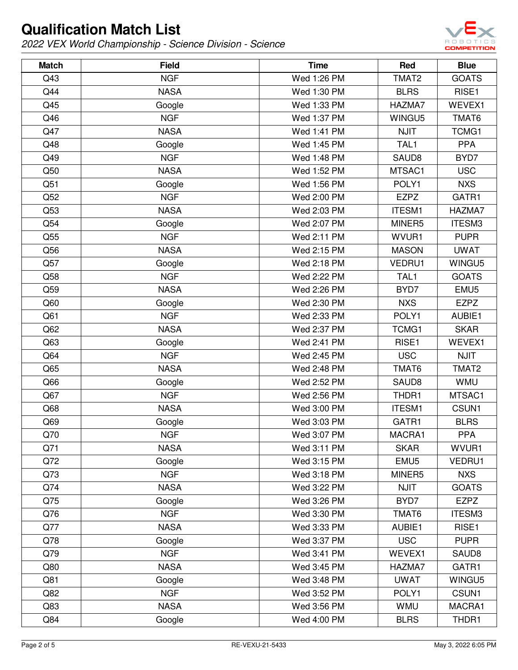

| <b>Match</b>    | <b>Field</b> | <b>Time</b> | Red               | <b>Blue</b>      |
|-----------------|--------------|-------------|-------------------|------------------|
| Q43             | <b>NGF</b>   | Wed 1:26 PM | TMAT2             | <b>GOATS</b>     |
| Q44             | <b>NASA</b>  | Wed 1:30 PM | <b>BLRS</b>       | RISE1            |
| Q45             | Google       | Wed 1:33 PM | HAZMA7            | WEVEX1           |
| Q46             | <b>NGF</b>   | Wed 1:37 PM | WINGU5            | TMAT6            |
| Q47             | <b>NASA</b>  | Wed 1:41 PM | <b>NJIT</b>       | TCMG1            |
| Q48             | Google       | Wed 1:45 PM | TAL1              | <b>PPA</b>       |
| Q49             | <b>NGF</b>   | Wed 1:48 PM | SAUD8             | BYD7             |
| Q50             | <b>NASA</b>  | Wed 1:52 PM | MTSAC1            | <b>USC</b>       |
| Q51             | Google       | Wed 1:56 PM | POLY1             | <b>NXS</b>       |
| Q52             | <b>NGF</b>   | Wed 2:00 PM | <b>EZPZ</b>       | GATR1            |
| Q53             | <b>NASA</b>  | Wed 2:03 PM | <b>ITESM1</b>     | HAZMA7           |
| Q54             | Google       | Wed 2:07 PM | MINER5            | ITESM3           |
| Q55             | <b>NGF</b>   | Wed 2:11 PM | WVUR1             | <b>PUPR</b>      |
| Q56             | <b>NASA</b>  | Wed 2:15 PM | <b>MASON</b>      | <b>UWAT</b>      |
| Q57             | Google       | Wed 2:18 PM | VEDRU1            | WINGU5           |
| Q58             | <b>NGF</b>   | Wed 2:22 PM | TAL1              | <b>GOATS</b>     |
| Q59             | <b>NASA</b>  | Wed 2:26 PM | BYD7              | EMU <sub>5</sub> |
| Q60             | Google       | Wed 2:30 PM | <b>NXS</b>        | <b>EZPZ</b>      |
| Q61             | <b>NGF</b>   | Wed 2:33 PM | POLY1             | AUBIE1           |
| Q <sub>62</sub> | <b>NASA</b>  | Wed 2:37 PM | TCMG1             | <b>SKAR</b>      |
| Q63             | Google       | Wed 2:41 PM | RISE1             | WEVEX1           |
| Q64             | <b>NGF</b>   | Wed 2:45 PM | <b>USC</b>        | <b>NJIT</b>      |
| Q65             | <b>NASA</b>  | Wed 2:48 PM | TMAT6             | TMAT2            |
| Q66             | Google       | Wed 2:52 PM | SAUD <sub>8</sub> | <b>WMU</b>       |
| Q67             | <b>NGF</b>   | Wed 2:56 PM | THDR1             | MTSAC1           |
| Q68             | <b>NASA</b>  | Wed 3:00 PM | <b>ITESM1</b>     | CSUN1            |
| Q69             | Google       | Wed 3:03 PM | GATR1             | <b>BLRS</b>      |
| Q70             | <b>NGF</b>   | Wed 3:07 PM | MACRA1            | <b>PPA</b>       |
| Q71             | <b>NASA</b>  | Wed 3:11 PM | <b>SKAR</b>       | WVUR1            |
| Q72             | Google       | Wed 3:15 PM | EMU <sub>5</sub>  | VEDRU1           |
| Q73             | <b>NGF</b>   | Wed 3:18 PM | MINER5            | <b>NXS</b>       |
| Q74             | <b>NASA</b>  | Wed 3:22 PM | <b>NJIT</b>       | <b>GOATS</b>     |
| Q75             | Google       | Wed 3:26 PM | BYD7              | <b>EZPZ</b>      |
| Q76             | <b>NGF</b>   | Wed 3:30 PM | TMAT6             | ITESM3           |
| Q77             | <b>NASA</b>  | Wed 3:33 PM | AUBIE1            | RISE1            |
| Q78             | Google       | Wed 3:37 PM | <b>USC</b>        | <b>PUPR</b>      |
| Q79             | <b>NGF</b>   | Wed 3:41 PM | WEVEX1            | SAUD8            |
| Q80             | <b>NASA</b>  | Wed 3:45 PM | HAZMA7            | GATR1            |
| Q81             | Google       | Wed 3:48 PM | <b>UWAT</b>       | WINGU5           |
| Q82             | <b>NGF</b>   | Wed 3:52 PM | POLY1             | CSUN1            |
| Q83             | <b>NASA</b>  | Wed 3:56 PM | <b>WMU</b>        | MACRA1           |
| Q84             | Google       | Wed 4:00 PM | <b>BLRS</b>       | THDR1            |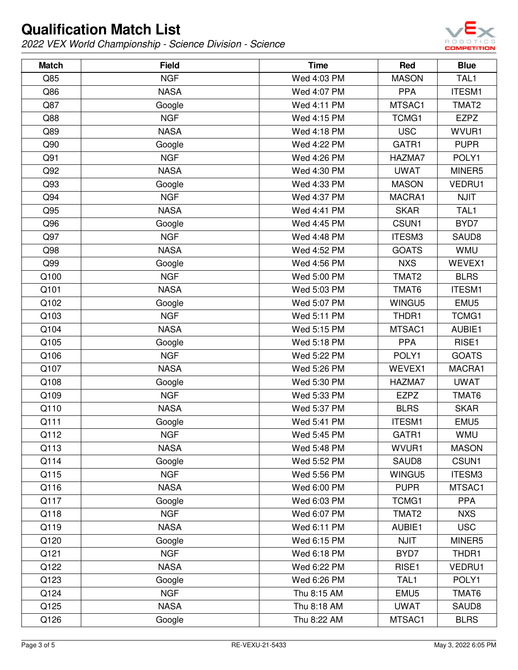

| <b>Match</b> | <b>Field</b> | <b>Time</b> | Red               | <b>Blue</b>      |
|--------------|--------------|-------------|-------------------|------------------|
| Q85          | <b>NGF</b>   | Wed 4:03 PM | <b>MASON</b>      | TAL1             |
| Q86          | <b>NASA</b>  | Wed 4:07 PM | <b>PPA</b>        | <b>ITESM1</b>    |
| Q87          | Google       | Wed 4:11 PM | MTSAC1            | TMAT2            |
| Q88          | <b>NGF</b>   | Wed 4:15 PM | TCMG1             | <b>EZPZ</b>      |
| Q89          | <b>NASA</b>  | Wed 4:18 PM | <b>USC</b>        | WVUR1            |
| Q90          | Google       | Wed 4:22 PM | GATR1             | <b>PUPR</b>      |
| Q91          | <b>NGF</b>   | Wed 4:26 PM | HAZMA7            | POLY1            |
| Q92          | <b>NASA</b>  | Wed 4:30 PM | <b>UWAT</b>       | MINER5           |
| Q93          | Google       | Wed 4:33 PM | <b>MASON</b>      | VEDRU1           |
| Q94          | <b>NGF</b>   | Wed 4:37 PM | MACRA1            | <b>NJIT</b>      |
| Q95          | <b>NASA</b>  | Wed 4:41 PM | <b>SKAR</b>       | TAL1             |
| Q96          | Google       | Wed 4:45 PM | CSUN1             | BYD7             |
| Q97          | <b>NGF</b>   | Wed 4:48 PM | ITESM3            | SAUD8            |
| Q98          | <b>NASA</b>  | Wed 4:52 PM | <b>GOATS</b>      | <b>WMU</b>       |
| Q99          | Google       | Wed 4:56 PM | <b>NXS</b>        | WEVEX1           |
| Q100         | <b>NGF</b>   | Wed 5:00 PM | TMAT2             | <b>BLRS</b>      |
| Q101         | <b>NASA</b>  | Wed 5:03 PM | TMAT6             | <b>ITESM1</b>    |
| Q102         | Google       | Wed 5:07 PM | WINGU5            | EMU <sub>5</sub> |
| Q103         | <b>NGF</b>   | Wed 5:11 PM | THDR1             | TCMG1            |
| Q104         | <b>NASA</b>  | Wed 5:15 PM | MTSAC1            | AUBIE1           |
| Q105         | Google       | Wed 5:18 PM | <b>PPA</b>        | RISE1            |
| Q106         | <b>NGF</b>   | Wed 5:22 PM | POLY1             | <b>GOATS</b>     |
| Q107         | <b>NASA</b>  | Wed 5:26 PM | WEVEX1            | MACRA1           |
| Q108         | Google       | Wed 5:30 PM | HAZMA7            | <b>UWAT</b>      |
| Q109         | <b>NGF</b>   | Wed 5:33 PM | <b>EZPZ</b>       | TMAT6            |
| Q110         | <b>NASA</b>  | Wed 5:37 PM | <b>BLRS</b>       | <b>SKAR</b>      |
| Q111         | Google       | Wed 5:41 PM | <b>ITESM1</b>     | EMU <sub>5</sub> |
| Q112         | <b>NGF</b>   | Wed 5:45 PM | GATR1             | <b>WMU</b>       |
| Q113         | <b>NASA</b>  | Wed 5:48 PM | WVUR1             | <b>MASON</b>     |
| Q114         | Google       | Wed 5:52 PM | SAUD <sub>8</sub> | CSUN1            |
| Q115         | <b>NGF</b>   | Wed 5:56 PM | WINGU5            | ITESM3           |
| Q116         | <b>NASA</b>  | Wed 6:00 PM | <b>PUPR</b>       | MTSAC1           |
| Q117         | Google       | Wed 6:03 PM | TCMG1             | <b>PPA</b>       |
| Q118         | <b>NGF</b>   | Wed 6:07 PM | TMAT2             | <b>NXS</b>       |
| Q119         | <b>NASA</b>  | Wed 6:11 PM | AUBIE1            | <b>USC</b>       |
| Q120         | Google       | Wed 6:15 PM | <b>NJIT</b>       | MINER5           |
| Q121         | <b>NGF</b>   | Wed 6:18 PM | BYD7              | THDR1            |
| Q122         | <b>NASA</b>  | Wed 6:22 PM | RISE1             | VEDRU1           |
| Q123         | Google       | Wed 6:26 PM | TAL1              | POLY1            |
| Q124         | <b>NGF</b>   | Thu 8:15 AM | EMU <sub>5</sub>  | TMAT6            |
| Q125         | <b>NASA</b>  | Thu 8:18 AM | <b>UWAT</b>       | SAUD8            |
| Q126         | Google       | Thu 8:22 AM | MTSAC1            | <b>BLRS</b>      |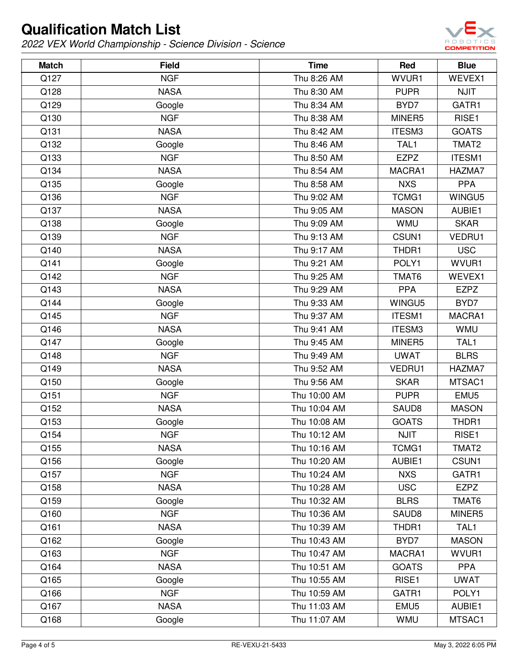

| <b>Match</b> | <b>Field</b> | <b>Time</b>  | Red               | <b>Blue</b>       |
|--------------|--------------|--------------|-------------------|-------------------|
| Q127         | <b>NGF</b>   | Thu 8:26 AM  | WVUR1             | WEVEX1            |
| Q128         | <b>NASA</b>  | Thu 8:30 AM  | <b>PUPR</b>       | <b>NJIT</b>       |
| Q129         | Google       | Thu 8:34 AM  | BYD7              | GATR1             |
| Q130         | <b>NGF</b>   | Thu 8:38 AM  | MINER5            | RISE1             |
| Q131         | <b>NASA</b>  | Thu 8:42 AM  | ITESM3            | <b>GOATS</b>      |
| Q132         | Google       | Thu 8:46 AM  | TAL1              | TMAT2             |
| Q133         | <b>NGF</b>   | Thu 8:50 AM  | <b>EZPZ</b>       | <b>ITESM1</b>     |
| Q134         | <b>NASA</b>  | Thu 8:54 AM  | MACRA1            | HAZMA7            |
| Q135         | Google       | Thu 8:58 AM  | <b>NXS</b>        | <b>PPA</b>        |
| Q136         | <b>NGF</b>   | Thu 9:02 AM  | TCMG1             | WINGU5            |
| Q137         | <b>NASA</b>  | Thu 9:05 AM  | <b>MASON</b>      | AUBIE1            |
| Q138         | Google       | Thu 9:09 AM  | <b>WMU</b>        | <b>SKAR</b>       |
| Q139         | <b>NGF</b>   | Thu 9:13 AM  | CSUN1             | VEDRU1            |
| Q140         | <b>NASA</b>  | Thu 9:17 AM  | THDR1             | <b>USC</b>        |
| Q141         | Google       | Thu 9:21 AM  | POLY1             | WVUR1             |
| Q142         | <b>NGF</b>   | Thu 9:25 AM  | TMAT6             | WEVEX1            |
| Q143         | <b>NASA</b>  | Thu 9:29 AM  | <b>PPA</b>        | <b>EZPZ</b>       |
| Q144         | Google       | Thu 9:33 AM  | WINGU5            | BYD7              |
| Q145         | <b>NGF</b>   | Thu 9:37 AM  | <b>ITESM1</b>     | MACRA1            |
| Q146         | <b>NASA</b>  | Thu 9:41 AM  | ITESM3            | <b>WMU</b>        |
| Q147         | Google       | Thu 9:45 AM  | MINER5            | TAL1              |
| Q148         | <b>NGF</b>   | Thu 9:49 AM  | <b>UWAT</b>       | <b>BLRS</b>       |
| Q149         | <b>NASA</b>  | Thu 9:52 AM  | VEDRU1            | HAZMA7            |
| Q150         | Google       | Thu 9:56 AM  | <b>SKAR</b>       | MTSAC1            |
| Q151         | <b>NGF</b>   | Thu 10:00 AM | <b>PUPR</b>       | EMU <sub>5</sub>  |
| Q152         | <b>NASA</b>  | Thu 10:04 AM | SAUD <sub>8</sub> | <b>MASON</b>      |
| Q153         | Google       | Thu 10:08 AM | <b>GOATS</b>      | THDR1             |
| Q154         | <b>NGF</b>   | Thu 10:12 AM | <b>NJIT</b>       | RISE1             |
| Q155         | <b>NASA</b>  | Thu 10:16 AM | TCMG1             | TMAT <sub>2</sub> |
| Q156         | Google       | Thu 10:20 AM | AUBIE1            | CSUN1             |
| Q157         | <b>NGF</b>   | Thu 10:24 AM | <b>NXS</b>        | GATR1             |
| Q158         | <b>NASA</b>  | Thu 10:28 AM | <b>USC</b>        | <b>EZPZ</b>       |
| Q159         | Google       | Thu 10:32 AM | <b>BLRS</b>       | TMAT6             |
| Q160         | <b>NGF</b>   | Thu 10:36 AM | SAUD8             | MINER5            |
| Q161         | <b>NASA</b>  | Thu 10:39 AM | THDR1             | TAL1              |
| Q162         | Google       | Thu 10:43 AM | BYD7              | <b>MASON</b>      |
| Q163         | <b>NGF</b>   | Thu 10:47 AM | MACRA1            | WVUR1             |
| Q164         | <b>NASA</b>  | Thu 10:51 AM | <b>GOATS</b>      | <b>PPA</b>        |
| Q165         | Google       | Thu 10:55 AM | RISE1             | <b>UWAT</b>       |
| Q166         | <b>NGF</b>   | Thu 10:59 AM | GATR1             | POLY1             |
| Q167         | <b>NASA</b>  | Thu 11:03 AM | EMU <sub>5</sub>  | AUBIE1            |
| Q168         | Google       | Thu 11:07 AM | <b>WMU</b>        | MTSAC1            |